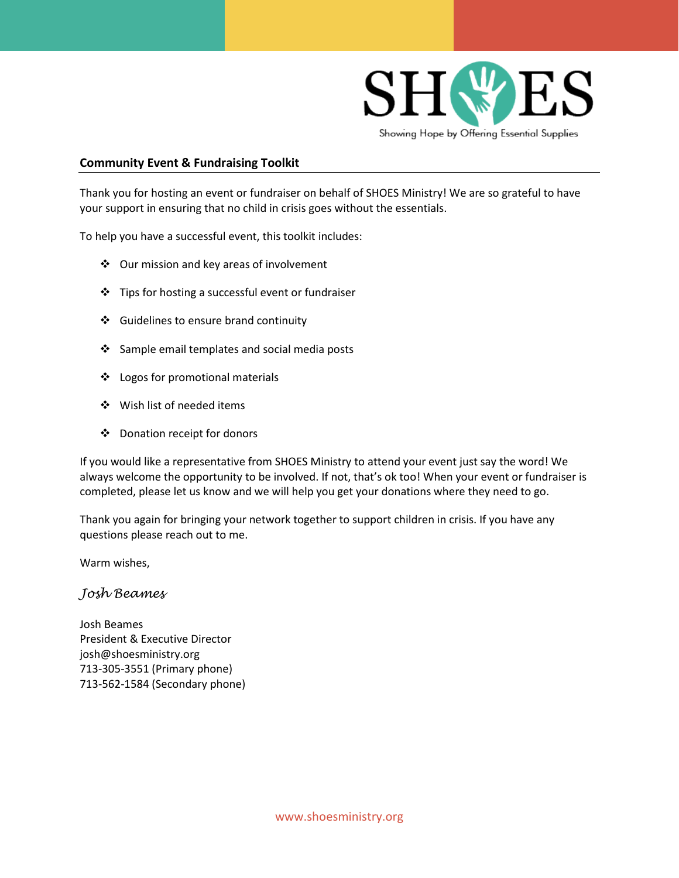

# **Community Event & Fundraising Toolkit**

Thank you for hosting an event or fundraiser on behalf of SHOES Ministry! We are so grateful to have your support in ensuring that no child in crisis goes without the essentials.

To help you have a successful event, this toolkit includes:

- Our mission and key areas of involvement
- Tips for hosting a successful event or fundraiser
- Guidelines to ensure brand continuity
- Sample email templates and social media posts
- Logos for promotional materials
- Wish list of needed items
- Donation receipt for donors

If you would like a representative from SHOES Ministry to attend your event just say the word! We always welcome the opportunity to be involved. If not, that's ok too! When your event or fundraiser is completed, please let us know and we will help you get your donations where they need to go.

Thank you again for bringing your network together to support children in crisis. If you have any questions please reach out to me.

Warm wishes,

# *Josh Beames*

Josh Beames President & Executive Director josh@shoesministry.org 713-305-3551 (Primary phone) 713-562-1584 (Secondary phone)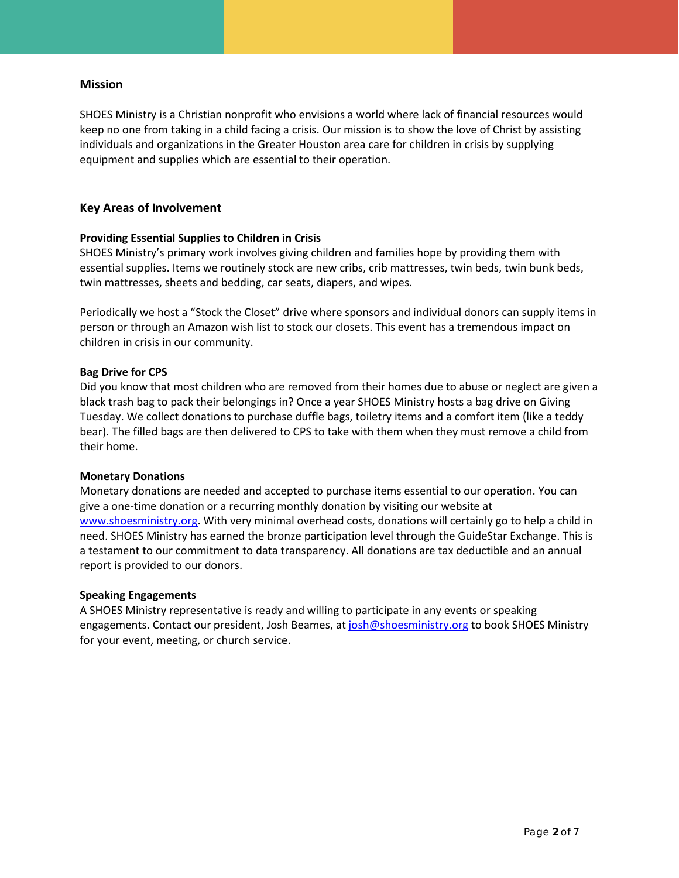#### **Mission**

SHOES Ministry is a Christian nonprofit who envisions a world where lack of financial resources would keep no one from taking in a child facing a crisis. Our mission is to show the love of Christ by assisting individuals and organizations in the Greater Houston area care for children in crisis by supplying equipment and supplies which are essential to their operation.

# **Key Areas of Involvement**

# **Providing Essential Supplies to Children in Crisis**

SHOES Ministry's primary work involves giving children and families hope by providing them with essential supplies. Items we routinely stock are new cribs, crib mattresses, twin beds, twin bunk beds, twin mattresses, sheets and bedding, car seats, diapers, and wipes.

Periodically we host a "Stock the Closet" drive where sponsors and individual donors can supply items in person or through an Amazon wish list to stock our closets. This event has a tremendous impact on children in crisis in our community.

# **Bag Drive for CPS**

Did you know that most children who are removed from their homes due to abuse or neglect are given a black trash bag to pack their belongings in? Once a year SHOES Ministry hosts a bag drive on Giving Tuesday. We collect donations to purchase duffle bags, toiletry items and a comfort item (like a teddy bear). The filled bags are then delivered to CPS to take with them when they must remove a child from their home.

#### **Monetary Donations**

Monetary donations are needed and accepted to purchase items essential to our operation. You can give a one-time donation or a recurring monthly donation by visiting our website at [www.shoesministry.org.](http://www.shoesministry.org/) With very minimal overhead costs, donations will certainly go to help a child in need. SHOES Ministry has earned the bronze participation level through the GuideStar Exchange. This is a testament to our commitment to data transparency. All donations are tax deductible and an annual report is provided to our donors.

#### **Speaking Engagements**

A SHOES Ministry representative is ready and willing to participate in any events or speaking engagements. Contact our president, Josh Beames, a[t josh@shoesministry.org](mailto:josh@shoesministry.org) to book SHOES Ministry for your event, meeting, or church service.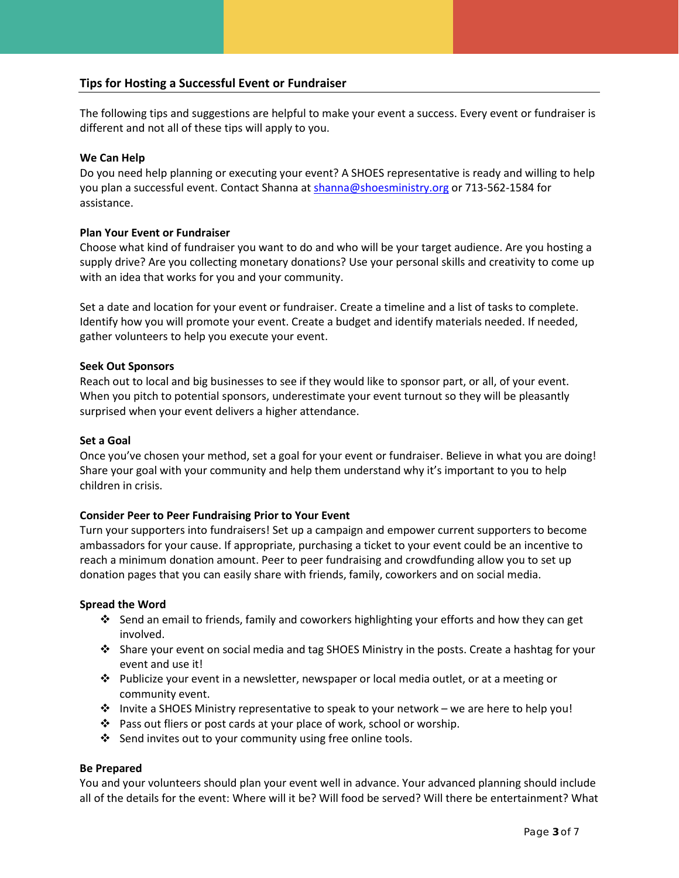# **Tips for Hosting a Successful Event or Fundraiser**

The following tips and suggestions are helpful to make your event a success. Every event or fundraiser is different and not all of these tips will apply to you.

# **We Can Help**

Do you need help planning or executing your event? A SHOES representative is ready and willing to help you plan a successful event. Contact Shanna at [shanna@shoesministry.org](mailto:shanna@shoesministry.org) or 713-562-1584 for assistance.

# **Plan Your Event or Fundraiser**

Choose what kind of fundraiser you want to do and who will be your target audience. Are you hosting a supply drive? Are you collecting monetary donations? Use your personal skills and creativity to come up with an idea that works for you and your community.

Set a date and location for your event or fundraiser. Create a timeline and a list of tasks to complete. Identify how you will promote your event. Create a budget and identify materials needed. If needed, gather volunteers to help you execute your event.

# **Seek Out Sponsors**

Reach out to local and big businesses to see if they would like to sponsor part, or all, of your event. When you pitch to potential sponsors, underestimate your event turnout so they will be pleasantly surprised when your event delivers a higher attendance.

#### **Set a Goal**

Once you've chosen your method, set a goal for your event or fundraiser. Believe in what you are doing! Share your goal with your community and help them understand why it's important to you to help children in crisis.

#### **Consider Peer to Peer Fundraising Prior to Your Event**

Turn your supporters into fundraisers! Set up a campaign and empower current supporters to become ambassadors for your cause. If appropriate, purchasing a ticket to your event could be an incentive to reach a minimum donation amount. Peer to peer fundraising and crowdfunding allow you to set up donation pages that you can easily share with friends, family, coworkers and on social media.

#### **Spread the Word**

- $\cdot$  Send an email to friends, family and coworkers highlighting your efforts and how they can get involved.
- Share your event on social media and tag SHOES Ministry in the posts. Create a hashtag for your event and use it!
- Publicize your event in a newsletter, newspaper or local media outlet, or at a meeting or community event.
- Invite a SHOES Ministry representative to speak to your network we are here to help you!
- Pass out fliers or post cards at your place of work, school or worship.
- ❖ Send invites out to your community using free online tools.

#### **Be Prepared**

You and your volunteers should plan your event well in advance. Your advanced planning should include all of the details for the event: Where will it be? Will food be served? Will there be entertainment? What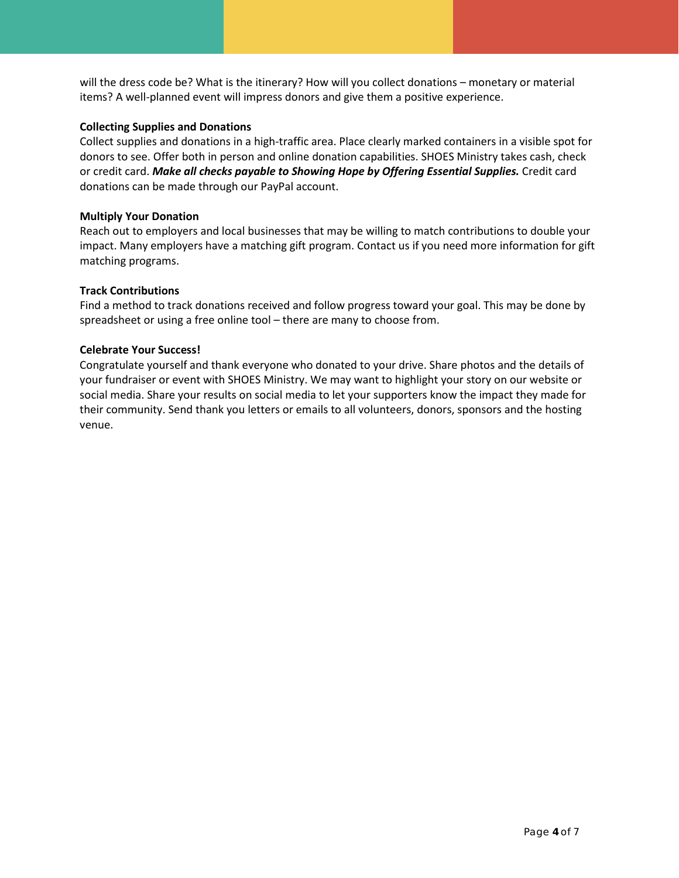will the dress code be? What is the itinerary? How will you collect donations – monetary or material items? A well-planned event will impress donors and give them a positive experience.

# **Collecting Supplies and Donations**

Collect supplies and donations in a high-traffic area. Place clearly marked containers in a visible spot for donors to see. Offer both in person and online donation capabilities. SHOES Ministry takes cash, check or credit card. *Make all checks payable to Showing Hope by Offering Essential Supplies.* Credit card donations can be made through our PayPal account.

# **Multiply Your Donation**

Reach out to employers and local businesses that may be willing to match contributions to double your impact. Many employers have a matching gift program. Contact us if you need more information for gift matching programs.

# **Track Contributions**

Find a method to track donations received and follow progress toward your goal. This may be done by spreadsheet or using a free online tool – there are many to choose from.

# **Celebrate Your Success!**

Congratulate yourself and thank everyone who donated to your drive. Share photos and the details of your fundraiser or event with SHOES Ministry. We may want to highlight your story on our website or social media. Share your results on social media to let your supporters know the impact they made for their community. Send thank you letters or emails to all volunteers, donors, sponsors and the hosting venue.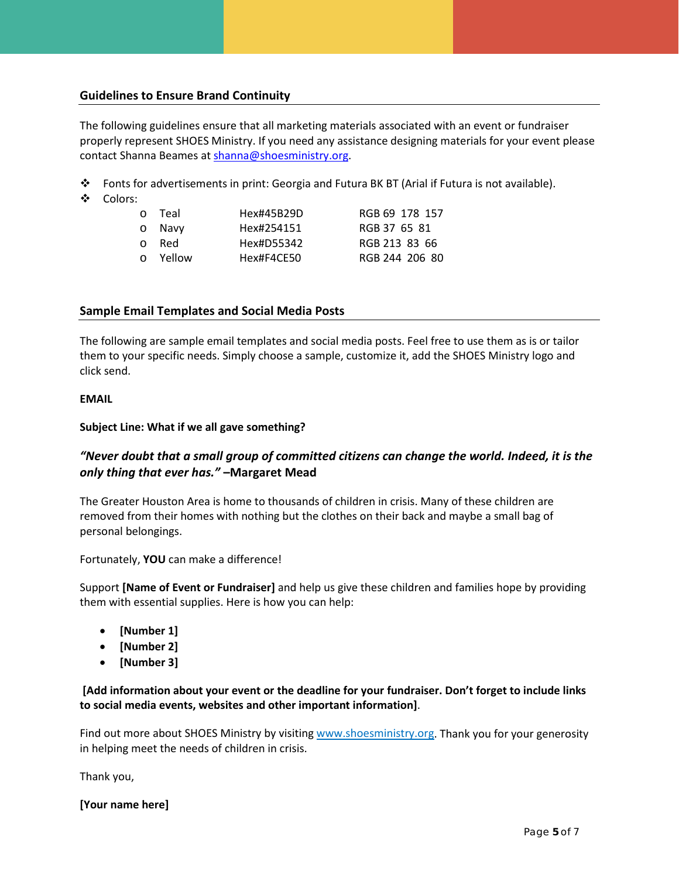# **Guidelines to Ensure Brand Continuity**

The following guidelines ensure that all marketing materials associated with an event or fundraiser properly represent SHOES Ministry. If you need any assistance designing materials for your event please contact Shanna Beames a[t shanna@shoesministry.org.](mailto:shanna@shoesministry.org)

- $\clubsuit$  Fonts for advertisements in print: Georgia and Futura BK BT (Arial if Futura is not available).
- Colors:

| o Teal   | Hex#45B29D | RGB 69 178 157 |
|----------|------------|----------------|
| o Navv   | Hex#254151 | RGB 37 65 81   |
| o Red    | Hex#D55342 | RGB 213 83 66  |
| o Yellow | Hex#F4CE50 | RGB 244 206 80 |

# **Sample Email Templates and Social Media Posts**

The following are sample email templates and social media posts. Feel free to use them as is or tailor them to your specific needs. Simply choose a sample, customize it, add the SHOES Ministry logo and click send.

#### **EMAIL**

# **Subject Line: What if we all gave something?**

# *"Never doubt that a small group of committed citizens can change the world. Indeed, it is the only thing that ever has."* **–Margaret Mead**

The Greater Houston Area is home to thousands of children in crisis. Many of these children are removed from their homes with nothing but the clothes on their back and maybe a small bag of personal belongings.

Fortunately, **YOU** can make a difference!

Support **[Name of Event or Fundraiser]** and help us give these children and families hope by providing them with essential supplies. Here is how you can help:

- **[Number 1]**
- **[Number 2]**
- **[Number 3]**

# **[Add information about your event or the deadline for your fundraiser. Don't forget to include links to social media events, websites and other important information]**.

Find out more about SHOES Ministry by visitin[g www.shoesministry.org.](http://www.shoesministry.org/) Thank you for your generosity in helping meet the needs of children in crisis.

Thank you,

**[Your name here]**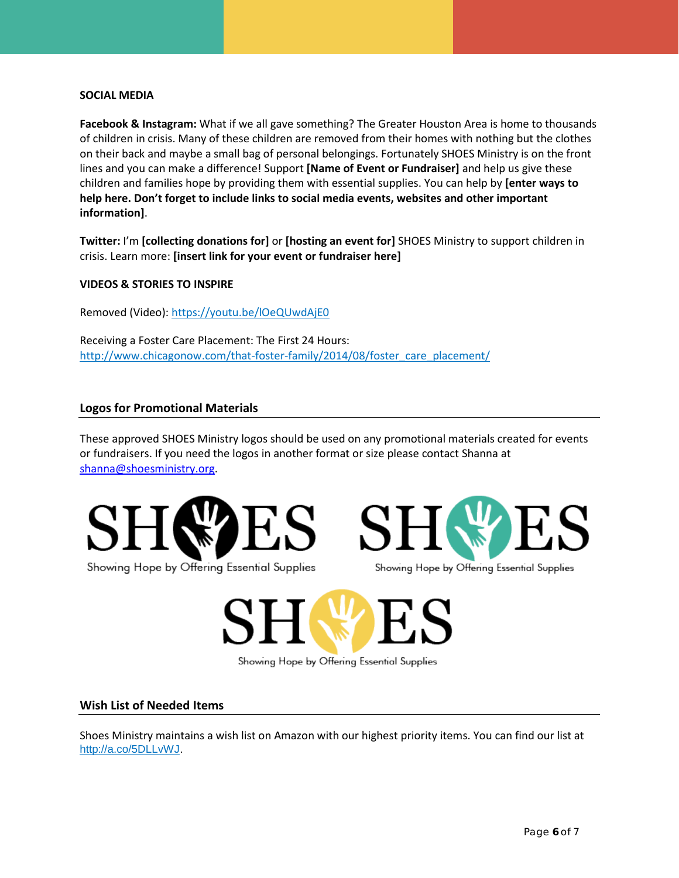#### **SOCIAL MEDIA**

**Facebook & Instagram:** What if we all gave something? The Greater Houston Area is home to thousands of children in crisis. Many of these children are removed from their homes with nothing but the clothes on their back and maybe a small bag of personal belongings. Fortunately SHOES Ministry is on the front lines and you can make a difference! Support **[Name of Event or Fundraiser]** and help us give these children and families hope by providing them with essential supplies. You can help by **[enter ways to help here. Don't forget to include links to social media events, websites and other important information]**.

**Twitter:** I'm **[collecting donations for]** or **[hosting an event for]** SHOES Ministry to support children in crisis. Learn more: **[insert link for your event or fundraiser here]**

# **VIDEOS & STORIES TO INSPIRE**

Removed (Video)[: https://youtu.be/lOeQUwdAjE0](https://youtu.be/lOeQUwdAjE0)

Receiving a Foster Care Placement: The First 24 Hours: [http://www.chicagonow.com/that-foster-family/2014/08/foster\\_care\\_placement/](http://www.chicagonow.com/that-foster-family/2014/08/foster_care_placement/)

# **Logos for Promotional Materials**

These approved SHOES Ministry logos should be used on any promotional materials created for events or fundraisers. If you need the logos in another format or size please contact Shanna at [shanna@shoesministry.org.](mailto:shanna@shoesministry.org)





Showing Hope by Offering Essential Supplies

# Showing Hope by Offering Essential Supplies

#### **Wish List of Needed Items**

Shoes Ministry maintains a wish list on Amazon with our highest priority items. You can find our list at [http://a.co/5DLLvWJ.](http://a.co/5DLLvWJ)